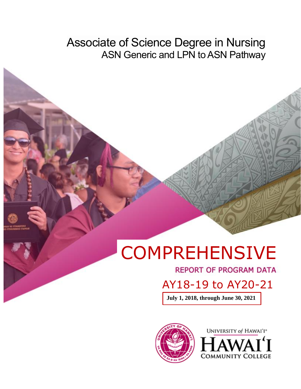Associate of Science Degree in Nursing ASN Generic and LPN to ASN Pathway

# **COMPREHENSIVE**

**REPORT OF PROGRAM DATA** 

AY18-19 to AY20-21

**July 1, 2018, through June 30, 2021**



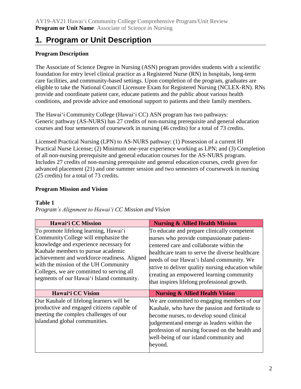## **1. Program or Unit Description**

### **Program Description**

The Associate of Science Degree in Nursing (ASN) program provides students with a scientific foundation for entry level clinical practice as a Registered Nurse (RN) in hospitals, long-term care facilities, and community-based settings. Upon completion of the program, graduates are eligible to take the National Council Licensure Exam for Registered Nursing (NCLEX-RN). RNs provide and coordinate patient care, educate patients and the public about various health conditions, and provide advice and emotional support to patients and their family members.

The Hawaiʻi Community College (Hawaiʻi CC) ASN program has two pathways: Generic pathway (AS-NURS) has 27 credits of non-nursing prerequisite and general education courses and four semesters of coursework in nursing (46 credits) for a total of 73 credits.

Licensed Practical Nursing (LPN) to AS-NURS pathway: (1) Possession of a current HI Practical Nurse License; (2) Minimum one-year experience working as LPN; and (3) Completion of all non-nursing prerequisite and general education courses for the AS-NURS program. Includes 27 credits of non-nursing prerequisite and general education courses, credit given for advanced placement (21) and one summer session and two semesters of coursework in nursing (25 credits) for a total of 73 credits.

#### **Program Mission and Vision**

#### **Table 1**

*Program's Alignment to Hawaiʻi CC Mission and Vision*

| Hawai'i CC Mission                                                                                                                                                                                                                                                                                                                              | <b>Nursing &amp; Allied Health Mission</b>                                                                                                                                                                                                                                                                                                                                           |
|-------------------------------------------------------------------------------------------------------------------------------------------------------------------------------------------------------------------------------------------------------------------------------------------------------------------------------------------------|--------------------------------------------------------------------------------------------------------------------------------------------------------------------------------------------------------------------------------------------------------------------------------------------------------------------------------------------------------------------------------------|
| To promote lifelong learning, Hawai'i<br>Community College will emphasize the<br>knowledge and experience necessary for<br>Kauhale members to pursue academic<br>achievement and workforce readiness. Aligned<br>with the mission of the UH Community<br>Colleges, we are committed to serving all<br>segments of our Hawai'i Island community. | To educate and prepare clinically competent<br>nurses who provide compassionate patient-<br>centered care and collaborate within the<br>healthcare team to serve the diverse healthcare<br>needs of our Hawai'i Island community. We<br>strive to deliver quality nursing education while<br>creating an empowered learning community<br>that inspires lifelong professional growth. |
| Hawai'i CC Vision                                                                                                                                                                                                                                                                                                                               | <b>Nursing &amp; Allied Health Vision</b>                                                                                                                                                                                                                                                                                                                                            |
| Our Kauhale of lifelong learners will be<br>productive and engaged citizens capable of<br>meeting the complex challenges of our<br>islandand global communities.                                                                                                                                                                                | We are committed to engaging members of our<br>Kauhale, who have the passion and fortitude to<br>become nurses, to develop sound clinical<br>judgement and emerge as leaders within the<br>profession of nursing focused on the health and<br>well-being of our island community and<br>beyond.                                                                                      |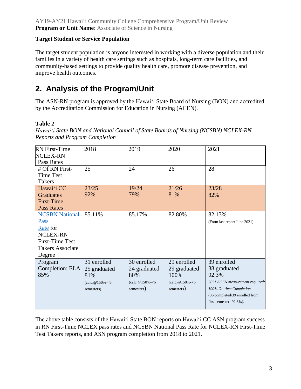#### **Target Student or Service Population**

The target student population is anyone interested in working with a diverse population and their families in a variety of health care settings such as hospitals, long-term care facilities, and community-based settings to provide quality health care, promote disease prevention, and improve health outcomes.

# **2. Analysis of the Program/Unit**

The ASN-RN program is approved by the Hawaiʻi State Board of Nursing (BON) and accredited by the Accreditation Commission for Education in Nursing (ACEN).

#### **Table 2**

*Hawaiʻi State BON and National Council of State Boards of Nursing (NCSBN) NCLEX-RN Reports and Program Completion*

| <b>RN</b> First-Time    | 2018           | 2019                        | 2020                        | 2021                            |
|-------------------------|----------------|-----------------------------|-----------------------------|---------------------------------|
| <b>NCLEX-RN</b>         |                |                             |                             |                                 |
| Pass Rates              |                |                             |                             |                                 |
| # Of RN First-          | 25             | 24                          | 26                          | 28                              |
| <b>Time Test</b>        |                |                             |                             |                                 |
| <b>Takers</b>           |                |                             |                             |                                 |
| Hawai'i CC              | 23/25          | 19/24                       | 21/26                       | 23/28                           |
| <b>Graduates</b>        | 92%            | 79%                         | 81%                         | 82%                             |
| First-Time              |                |                             |                             |                                 |
| <b>Pass Rates</b>       |                |                             |                             |                                 |
| <b>NCSBN National</b>   | 85.11%         | 85.17%                      | 82.80%                      | 82.13%                          |
| <b>Pass</b>             |                |                             |                             | (From last report June 2021)    |
| Rate for                |                |                             |                             |                                 |
| <b>NCLEX-RN</b>         |                |                             |                             |                                 |
| <b>First-Time Test</b>  |                |                             |                             |                                 |
| <b>Takers Associate</b> |                |                             |                             |                                 |
| Degree                  |                |                             |                             |                                 |
| Program                 | 31 enrolled    | 30 enrolled                 | 29 enrolled                 | 39 enrolled                     |
| Completion: ELA         | 25 graduated   | 24 graduated                | 29 graduated                | 38 graduated                    |
| 85%                     | 81%            | 80%                         | 100%                        | 92.3%                           |
|                         | (calc.@150%-<6 | $\text{(calc.} @ 150\% -<6$ | $\text{(calc.} @ 150\% -<6$ | 2021 ACEN measurement required: |
|                         | semesters)     | semesters)                  | semesters)                  | 100% On-time Completion         |
|                         |                |                             |                             | (36 completed/39 enrolled from  |
|                         |                |                             |                             | first semester=92.3%).          |
|                         |                |                             |                             |                                 |

The above table consists of the Hawaiʻi State BON reports on Hawaiʻi CC ASN program success in RN First-Time NCLEX pass rates and NCSBN National Pass Rate for NCLEX-RN First-Time Test Takers reports, and ASN program completion from 2018 to 2021.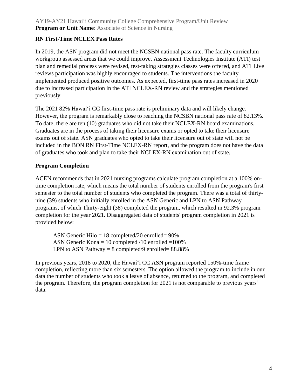#### **RN First-Time NCLEX Pass Rates**

In 2019, the ASN program did not meet the NCSBN national pass rate. The faculty curriculum workgroup assessed areas that we could improve. Assessment Technologies Institute (ATI) test plan and remedial process were revised, test-taking strategies classes were offered, and ATI Live reviews participation was highly encouraged to students. The interventions the faculty implemented produced positive outcomes. As expected, first-time pass rates increased in 2020 due to increased participation in the ATI NCLEX-RN review and the strategies mentioned previously.

The 2021 82% Hawaiʻi CC first-time pass rate is preliminary data and will likely change. However, the program is remarkably close to reaching the NCSBN national pass rate of 82.13%. To date, there are ten (10) graduates who did not take their NCLEX-RN board examinations. Graduates are in the process of taking their licensure exams or opted to take their licensure exams out of state. ASN graduates who opted to take their licensure out of state will not be included in the BON RN First-Time NCLEX-RN report, and the program does not have the data of graduates who took and plan to take their NCLEX-RN examination out of state.

#### **Program Completion**

ACEN recommends that in 2021 nursing programs calculate program completion at a 100% ontime completion rate, which means the total number of students enrolled from the program's first semester to the total number of students who completed the program. There was a total of thirtynine (39) students who initially enrolled in the ASN Generic and LPN to ASN Pathway programs, of which Thirty-eight (38) completed the program, which resulted in 92.3% program completion for the year 2021. Disaggregated data of students' program completion in 2021 is provided below:

ASN Generic Hilo  $= 18$  completed/20 enrolled= 90% ASN Generic Kona = 10 completed  $/10$  enrolled = 100% LPN to ASN Pathway =  $8$  completed/9 enrolled=  $88.88\%$ 

In previous years, 2018 to 2020, the Hawaiʻi CC ASN program reported 150%-time frame completion, reflecting more than six semesters. The option allowed the program to include in our data the number of students who took a leave of absence, returned to the program, and completed the program. Therefore, the program completion for 2021 is not comparable to previous years' data.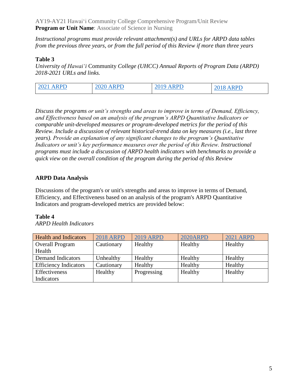*Instructional programs must provide relevant attachment(s) and URLs for ARPD data tables from the previous three years, or from the full period of this Review if more than three years*

#### **Table 3**

*University of Hawaiʻi* Community *College (UHCC) Annual Reports of Program Data (ARPD) 2018-2021 URLs and links.*

| <b>RPD</b><br>202 <sup>1</sup><br>$\mathbf{\Lambda}$ | <b>A D D D</b><br>ZUZU | ARPD | <b>RPD</b> |
|------------------------------------------------------|------------------------|------|------------|
|------------------------------------------------------|------------------------|------|------------|

*Discuss the programs or unit's strengths and areas to improve in terms of Demand, Efficiency, and Effectiveness based on an analysis of the program's ARPD Quantitative Indicators or comparable unit-developed measures or program-developed metrics for the period of this Review. Include a discussion of relevant historical-trend data on key measures (i.e., last three years). Provide an explanation of any significant changes to the program's Quantitative Indicators or unit's key performance measures over the period of this Review. Instructional programs must include a discussion of ARPD health indicators with benchmarks to provide a quick view on the overall condition of the program during the period of this Review*

#### **ARPD Data Analysis**

Discussions of the program's or unit's strengths and areas to improve in terms of Demand, Efficiency, and Effectiveness based on an analysis of the program's ARPD Quantitative Indicators and program-developed metrics are provided below:

#### **Table 4**

Health and Indicators [2018 ARPD](http://www.hawaii.edu/offices/cc/arpd/instructional.php?action=quantitativeindicators&year=2018&college=HAW&program=23) [2019 ARPD](https://uhcc.hawaii.edu/varpd/index.php?y=2019&c=HAW&t=CTE&p=1868) 2020 ARPD [2021 ARPD](https://uhcc.hawaii.edu/varpd/index.php?y=2021&c=HAW&t=CTE&p=2328) Overall Program Health Cautionary Healthy Healthy Healthy Healthy Demand Indicators Unhealthy Healthy Healthy Healthy Healthy Efficiency Indicators Cautionary Healthy Healthy Healthy Healthy Effectiveness Indicators Healthy Progressing Healthy Healthy

*ARPD Health Indicators*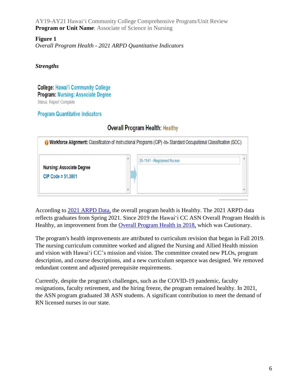#### **Figure 1**

*Overall Program Health - 2021 ARPD Quantitative Indicators*

#### *Strengths*

**College: Hawai'i Community College Program: Nursing: Associate Degree Status: Report Complete** 

#### **Program Quantitative Indicators**

## **Overall Program Health: Healthy**

|                                  | <b>a Workforce Alignment:</b> Classification of Instructional Programs (CIP) -to-Standard Occupational Classification (SOC) |                             |              |  |  |
|----------------------------------|-----------------------------------------------------------------------------------------------------------------------------|-----------------------------|--------------|--|--|
| <b>Nursing: Associate Degree</b> | Á                                                                                                                           | 29-1141 - Registered Nurses | $\mathbb{A}$ |  |  |
| CIP Code = $51,3801$             | Ψ                                                                                                                           |                             | v            |  |  |

According to [2021 ARPD Data,](https://uhcc.hawaii.edu/varpd/index.php?y=2021&c=HAW&t=CTE&p=2328) the overall program health is Healthy. The 2021 ARPD data reflects graduates from Spring 2021. Since 2019 the Hawaiʻi CC ASN Overall Program Health is Healthy, an improvement from the [Overall Program Health in 2018,](http://www.hawaii.edu/offices/cc/arpd/instructional.php?action=quantitativeindicators&year=2018&college=HAW&program=23) which was Cautionary.

The program's health improvements are attributed to curriculum revision that began in Fall 2019. The nursing curriculum committee worked and aligned the Nursing and Allied Health mission and vision with Hawaiʻi CC's mission and vision. The committee created new PLOs, program description, and course descriptions, and a new curriculum sequence was designed. We removed redundant content and adjusted prerequisite requirements.

Currently, despite the program's challenges, such as the COVID-19 pandemic, faculty resignations, faculty retirement, and the hiring freeze, the program remained healthy. In 2021, the ASN program graduated 38 ASN students. A significant contribution to meet the demand of RN licensed nurses in our state.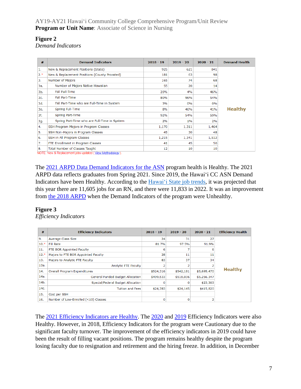#### **Figure 2**

*Demand Indicators*

| #     | <b>Demand Indicators</b>                      | $2018 - 19$ | $2019 - 20$ | $2020 - 21$ | <b>Demand Health</b> |
|-------|-----------------------------------------------|-------------|-------------|-------------|----------------------|
| 1.    | New & Replacement Positions (State)           | 925         | 621         | 841         |                      |
| $2.*$ | New & Replacement Positions (County Prorated) | 181         | 63          | 98          |                      |
| 3.    | Number of Majors                              | 165         | 74          | 68          |                      |
| 3a.   | Number of Majors Native Hawaiian              | 55          | 20          | 14          |                      |
| 3b.   | Fall Full-Time                                | 20%         | 4%          | 46%         |                      |
| Зс.   | Fall Part-Time                                | 80%         | 96%         | 54%         |                      |
| 3d.   | Fall Part-Time who are Full-Time in System    | 3%          | 0%          | 0%          |                      |
| 3e.   | Spring Full-Time                              | 8%          | 46%         | 41%         | <b>Healthy</b>       |
| 3f.   | Spring Part-Time                              | 92%         | 54%         | 59%         |                      |
| 3g.   | Spring Part-Time who are Full-Time in System  | 2%          | 1%          | 2%          |                      |
| 4.    | SSH Program Majors in Program Classes         | 1,170       | 1,311       | 1,464       |                      |
| 5.    | SSH Non-Majors in Program Classes             | 45          | 30          | 48          |                      |
| 6.    | SSH in All Program Classes                    | 1,215       | 1,341       | 1,512       |                      |
| 7.    | FTE Enrollment in Program Classes             | 41          | 45          | 50          |                      |
| 8.    | Total Number of Classes Taught                | 12          | 10          | 10          |                      |

The [2021 ARPD Data Demand Indicators for the ASN](https://uhcc.hawaii.edu/varpd/index.php?y=2021&c=HAW&t=CTE&p=2328) program health is Healthy. The 2021 ARPD data reflects graduates from Spring 2021. Since 2019, the Hawaiʻi CC ASN Demand Indicators have been Healthy. According to the Hawai'i [State job trends,](https://careerexplorer.hawaii.edu/occupations/job_trends.php?region=state&soc=29-1141) it was projected that this year there are 11,605 jobs for an RN, and there were 11,833 in 2022. It was an improvement from [the 2018 ARPD](http://www.hawaii.edu/offices/cc/arpd/instructional.php?action=quantitativeindicators&year=2018&college=HAW&program=23) when the Demand Indicators of the program were Unhealthy.

#### **Figure 3**

*Efficiency Indicators*

| #      | <b>Efficiency Indicators</b>         | $2018 - 19$ | $2019 - 20$ | $2020 - 21$ | <b>Efficiency Health</b> |
|--------|--------------------------------------|-------------|-------------|-------------|--------------------------|
| 9.     | Average Class Size                   | 24          | 31          | 27          |                          |
| $10.*$ | <b>Fill Rate</b>                     | 81.7%       | 97.5%       | 91.9%       |                          |
| 11.    | FTE BOR Appointed Faculty            | 6           |             |             |                          |
| $12.*$ | Majors to FTE BOR Appointed Faculty  | 28          | 11          | 11          |                          |
| 13.    | Majors to Analytic FTE Faculty       | 83          | 37          | 34          |                          |
| 13a.   | Analytic FTE Faculty                 | 2           |             |             |                          |
| 14.    | Overall Program Expenditures         | \$524,316   | \$542,181   | \$5,695,470 | <b>Healthy</b>           |
| 14a.   | General Funded Budget Allocation     | \$499,533   | \$518,036   | \$5,256,347 |                          |
| 14b.   | Special/Federal Budget Allocation    | O           | n           | \$23,303    |                          |
| 14c.   | <b>Tuition and Fees</b>              | \$24,783    | \$24,145    | \$415,820   |                          |
| 15.    | Cost per SSH                         |             |             |             |                          |
| 16.    | Number of Low-Enrolled (<10) Classes | $\mathbf 0$ | $\Omega$    |             |                          |

The [2021 Efficiency Indicators are Healthy.](https://uhcc.hawaii.edu/varpd/index.php?y=2021&c=HAW&t=CTE&p=2328) The [2020](https://uhcc.hawaii.edu/varpd/index.php?y=2020&c=HAW&t=CTE&p=2104) and [2019](https://uhcc.hawaii.edu/varpd/index.php?y=2019&c=HAW&t=CTE&p=1868) Efficiency Indicators were also Healthy. However, in 2018, Efficiency Indicators for the program were Cautionary due to the significant faculty turnover. The improvement of the efficiency indicators in 2019 could have been the result of filling vacant positions. The program remains healthy despite the program losing faculty due to resignation and retirement and the hiring freeze. In addition, in December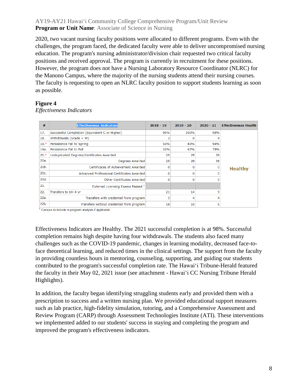2020, two vacant nursing faculty positions were allocated to different programs. Even with the challenges, the program faced, the dedicated faculty were able to deliver uncompromised nursing education. The program's nursing administrator/division chair requested two critical faculty positions and received approval. The program is currently in recruitment for these positions. However, the program does not have a Nursing Laboratory Resource Coordinator (NLRC) for the Manono Campus, where the majority of the nursing students attend their nursing courses. The faculty is requesting to open an NLRC faculty position to support students learning as soon as possible.

#### **Figure 4**

*Effectiveness Indicators*

| #                 | <b>Effectiveness Indicators</b>                | $2018 - 19$ | $2019 - 20$ | $2020 - 21$ | <b>Effectiveness Health</b> |
|-------------------|------------------------------------------------|-------------|-------------|-------------|-----------------------------|
| 17.               | Successful Completion (Equivalent C or Higher) | 96%         | 100%        | 98%         |                             |
| 18.               | Withdrawals (Grade $= W$ )                     | 3           |             |             |                             |
| $19.*$            | Persistence Fall to Spring                     | 59%         | 83%         | 94%         |                             |
| 19a.              | Persistence Fall to Fall                       | 32%         | 67%         | 78%         |                             |
| $20.*$            | Unduplicated Degrees/Certificates Awarded      | 25          | 29          | 38          |                             |
| 20a.              | Degrees Awarded                                | 25          | 29          | 38          |                             |
| 20 <sub>b</sub> . | Certificates of Achievement Awarded            | 0           |             |             | <b>Healthy</b>              |
| 20c.              | Advanced Professional Certificates Awarded     | o           |             |             |                             |
| 20d.              | Other Certificates Awarded                     | o           |             |             |                             |
| 21.               | External Licensing Exams Passed 1              |             |             |             |                             |
| 22.               | Transfers to UH 4-yr                           | 21          | 14          | ٩           |                             |
| 22a.              | Transfers with credential from program         | 3           | 4           |             |                             |
| 22b.              | Transfers without credential from program      | 18          | 10          | 5           |                             |

<sup>1</sup> Campus to include in program analysis if applicable.

Effectiveness Indicators are Healthy. The 2021 successful completion is at 98%. Successful completion remains high despite having four withdrawals. The students also faced many challenges such as the COVID-19 pandemic, changes in learning modality, decreased face-toface theoretical learning, and reduced times in the clinical settings. The support from the faculty in providing countless hours in mentoring, counseling, supporting, and guiding our students contributed to the program's successful completion rate. The Hawaiʻi Tribune-Herald featured the faculty in their May 02, 2021 issue (see attachment - Hawaiʻi CC Nursing Tribune Herald Highlights).

In addition, the faculty began identifying struggling students early and provided them with a prescription to success and a written nursing plan. We provided educational support measures such as lab practice, high-fidelity simulation, tutoring, and a Comprehensive Assessment and Review Program (CARP) through Assessment Technologies Institute (ATI). These interventions we implemented added to our students' success in staying and completing the program and improved the program's effectiveness indicators.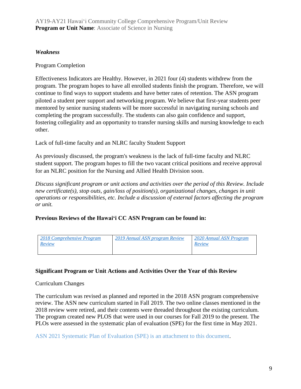#### *Weakness*

#### Program Completion

Effectiveness Indicators are Healthy. However, in 2021 four (4) students withdrew from the program. The program hopes to have all enrolled students finish the program. Therefore, we will continue to find ways to support students and have better rates of retention. The ASN program piloted a student peer support and networking program. We believe that first-year students peer mentored by senior nursing students will be more successful in navigating nursing schools and completing the program successfully. The students can also gain confidence and support, fostering collegiality and an opportunity to transfer nursing skills and nursing knowledge to each other.

Lack of full-time faculty and an NLRC faculty Student Support

As previously discussed, the program's weakness is the lack of full-time faculty and NLRC student support. The program hopes to fill the two vacant critical positions and receive approval for an NLRC position for the Nursing and Allied Health Division soon.

*Discuss significant program or unit actions and activities over the period of this Review. Include new certificate(s), stop outs, gain/loss of position(s), organizational changes, changes in unit operations or responsibilities, etc. Include a discussion of external factors affecting the program or unit.*

**Previous Reviews of the Hawaiʻi CC ASN Program can be found in:**

| 2018 Comprehensive Program<br>Review | 2019 Annual ASN program Review | 2020 Annual ASN Program<br>Review |
|--------------------------------------|--------------------------------|-----------------------------------|
|                                      |                                |                                   |

#### **Significant Program or Unit Actions and Activities Over the Year of this Review**

#### Curriculum Changes

The curriculum was revised as planned and reported in the 2018 ASN program comprehensive review. The ASN new curriculum started in Fall 2019. The two online classes mentioned in the 2018 review were retired, and their contents were threaded throughout the existing curriculum. The program created new PLOS that were used in our courses for Fall 2019 to the present. The PLOs were assessed in the systematic plan of evaluation (SPE) for the first time in May 2021.

ASN 2021 Systematic Plan of Evaluation (SPE) is an attachment to this document.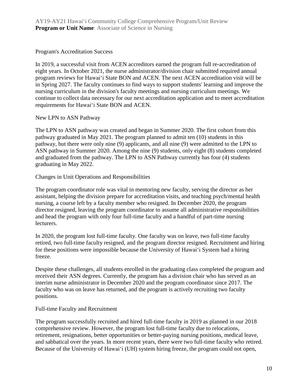Program's Accreditation Success

In 2019, a successful visit from ACEN accreditors earned the program full re-accreditation of eight years. In October 2021, the nurse administrator/division chair submitted required annual program reviews for Hawaiʻi State BON and ACEN. The next ACEN accreditation visit will be in Spring 2027. The faculty continues to find ways to support students' learning and improve the nursing curriculum in the division's faculty meetings and nursing curriculum meetings. We continue to collect data necessary for our next accreditation application and to meet accreditation requirements for Hawaiʻi State BON and ACEN.

#### New LPN to ASN Pathway

The LPN to ASN pathway was created and began in Summer 2020. The first cohort from this pathway graduated in May 2021. The program planned to admit ten (10) students in this pathway, but there were only nine (9) applicants, and all nine (9) were admitted to the LPN to ASN pathway in Summer 2020. Among the nine (9) students, only eight (8) students completed and graduated from the pathway. The LPN to ASN Pathway currently has four (4) students graduating in May 2022.

Changes in Unit Operations and Responsibilities

The program coordinator role was vital in mentoring new faculty, serving the director as her assistant, helping the division prepare for accreditation visits, and teaching psych/mental health nursing, a course left by a faculty member who resigned. In December 2020, the program director resigned, leaving the program coordinator to assume all administrative responsibilities and head the program with only four full-time faculty and a handful of part-time nursing lecturers.

In 2020, the program lost full-time faculty. One faculty was on leave, two full-time faculty retired, two full-time faculty resigned, and the program director resigned. Recruitment and hiring for these positions were impossible because the University of Hawaiʻi System had a hiring freeze.

Despite these challenges, all students enrolled in the graduating class completed the program and received their ASN degrees. Currently, the program has a division chair who has served as an interim nurse administrator in December 2020 and the program coordinator since 2017. The faculty who was on leave has returned, and the program is actively recruiting two faculty positions.

#### Full-time Faculty and Recruitment

The program successfully recruited and hired full-time faculty in 2019 as planned in our 2018 comprehensive review. However, the program lost full-time faculty due to relocations, retirement, resignations, better opportunities or better-paying nursing positions, medical leave, and sabbatical over the years. In more recent years, there were two full-time faculty who retired. Because of the University of Hawai<sup>'</sup>i (UH) system hiring freeze, the program could not open,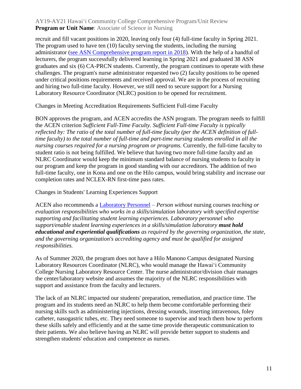recruit and fill vacant positions in 2020, leaving only four (4) full-time faculty in Spring 2021. The program used to have ten (10) faculty serving the students, including the nursing administrator [\(see ASN Comprehensive program report in 2018\)](https://hawaii.hawaii.edu/files/program-unit-review/docs/2018_NURS_Annual_Program_Review.pdf). With the help of a handful of lecturers, the program successfully delivered learning in Spring 2021 and graduated 38 ASN graduates and six (6) CA-PRCN students. Currently, the program continues to operate with these challenges. The program's nurse administrator requested two (2) faculty positions to be opened under critical positions requirements and received approval. We are in the process of recruiting and hiring two full-time faculty. However, we still need to secure support for a Nursing Laboratory Resource Coordinator (NLRC) position to be opened for recruitment.

#### Changes in Meeting Accreditation Requirements Sufficient Full-time Faculty

BON approves the program, and ACEN accredits the ASN program. The program needs to fulfill the ACEN criterion *Sufficient Full-Time Faculty. Sufficient Full-time Faculty is typically reflected by: The ratio of the total number of full-time faculty (per the ACEN definition of fulltime faculty) to the total number of full-time and part-time nursing students enrolled in all the nursing courses required for a nursing program or programs.* Currently, the full-time faculty to student ratio is not being fulfilled. We believe that having two more full-time faculty and an NLRC Coordinator would keep the minimum standard balance of nursing students to faculty in our program and keep the program in good standing with our accreditors. The addition of two full-time faculty, one in Kona and one on the Hilo campus, would bring stability and increase our completion rates and NCLEX-RN first-time pass rates.

Changes in Students' Learning Experiences Support

ACEN also recommends a [Laboratory Personnel](https://www.acenursing.org/acen-accreditation-manual-glossary/#L) *– Person without* nursing courses *teaching or evaluation responsibilities who works in a skills/simulation laboratory with specified expertise supporting and facilitating student learning experiences. Laboratory personnel who support/enable student learning experiences in a skills/simulation laboratory must hold educational and experiential qualifications as required by the governing organization, the state, and the governing organization's accrediting agency and must be qualified for assigned responsibilities.* 

As of Summer 2020, the program does not have a Hilo Manono Campus designated Nursing Laboratory Resources Coordinator (NLRC), who would manage the Hawaiʻi Community College Nursing Laboratory Resource Center. The nurse administrator/division chair manages the center/laboratory website and assumes the majority of the NLRC responsibilities with support and assistance from the faculty and lecturers.

The lack of an NLRC impacted our students' preparation, remediation, and practice time. The program and its students need an NLRC to help them become comfortable performing their nursing skills such as administering injections, dressing wounds, inserting intravenous, foley catheter, nasogastric tubes, etc. They need someone to supervise and teach them how to perform these skills safely and efficiently and at the same time provide therapeutic communication to their patients. We also believe having an NLRC will provide better support to students and strengthen students' education and competence as nurses.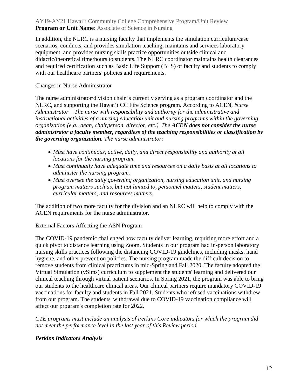In addition, the NLRC is a nursing faculty that implements the simulation curriculum/case scenarios, conducts, and provides simulation teaching, maintains and services laboratory equipment, and provides nursing skills practice opportunities outside clinical and didactic/theoretical time/hours to students. The NLRC coordinator maintains health clearances and required certification such as Basic Life Support (BLS) of faculty and students to comply with our healthcare partners' policies and requirements.

#### Changes in Nurse Administrator

The nurse administrator/division chair is currently serving as a program coordinator and the NLRC, and supporting the Hawaiʻi CC Fire Science program. According to ACEN, *Nurse Administrator – The nurse with responsibility and authority for the administrative and instructional activities of a nursing education unit and nursing programs within the governing organization (e.g., dean, chairperson, director, etc.). The ACEN does not consider the nurse administrator a faculty member, regardless of the teaching responsibilities or classification by the governing organization. The nurse administrator:*

- *Must have continuous, active, daily, and direct responsibility and authority at all locations for the nursing program.*
- *Must continually have adequate time and resources on a daily basis at all locations to administer the nursing program.*
- *Must oversee the daily governing organization, nursing education unit, and nursing program matters such as, but not limited to, personnel matters, student matters, curricular matters, and resources matters.*

The addition of two more faculty for the division and an NLRC will help to comply with the ACEN requirements for the nurse administrator.

#### External Factors Affecting the ASN Program

The COVID-19 pandemic challenged how faculty deliver learning, requiring more effort and a quick pivot to distance learning using Zoom. Students in our program had in-person laboratory nursing skills practices following the distancing COVID-19 guidelines, including masks, hand hygiene, and other prevention policies. The nursing program made the difficult decision to remove students from clinical practicums in mid-Spring and Fall 2020. The faculty adopted the Virtual Simulation (vSims) curriculum to supplement the students' learning and delivered our clinical teaching through virtual patient scenarios. In Spring 2021, the program was able to bring our students to the healthcare clinical areas. Our clinical partners require mandatory COVID-19 vaccinations for faculty and students in Fall 2021. Students who refused vaccinations withdrew from our program. The students' withdrawal due to COVID-19 vaccination compliance will affect our program's completion rate for 2022.

*CTE programs must include an analysis of Perkins Core indicators for which the program did not meet the performance level in the last year of this Review period.*

#### *Perkins Indicators Analysis*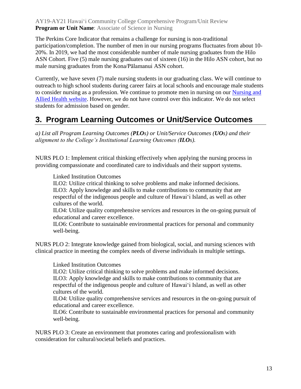The Perkins Core Indicator that remains a challenge for nursing is non-traditional participation/completion. The number of men in our nursing programs fluctuates from about 10- 20%. In 2019, we had the most considerable number of male nursing graduates from the Hilo ASN Cohort. Five (5) male nursing graduates out of sixteen (16) in the Hilo ASN cohort, but no male nursing graduates from the Kona/Pālamanui ASN cohort.

Currently, we have seven (7) male nursing students in our graduating class. We will continue to outreach to high school students during career fairs at local schools and encourage male students to consider nursing as a profession. We continue to promote men in nursing on our [Nursing and](https://hawaii.hawaii.edu/nursing)  [Allied Health website.](https://hawaii.hawaii.edu/nursing) However, we do not have control over this indicator. We do not select students for admission based on gender.

## **3. Program Learning Outcomes or Unit/Service Outcomes**

*a) List all Program Learning Outcomes (PLOs) or Unit/Service Outcomes (UOs) and their alignment to the College's Institutional Learning Outcomes (ILOs).*

NURS PLO 1: Implement critical thinking effectively when applying the nursing process in providing compassionate and coordinated care to individuals and their support systems.

Linked Institution Outcomes

ILO2: Utilize critical thinking to solve problems and make informed decisions. ILO3: Apply knowledge and skills to make contributions to community that are respectful of the indigenous people and culture of Hawaiʻi Island, as well as other cultures of the world.

ILO4: Utilize quality comprehensive services and resources in the on-going pursuit of educational and career excellence.

ILO6: Contribute to sustainable environmental practices for personal and community well-being.

NURS PLO 2: Integrate knowledge gained from biological, social, and nursing sciences with clinical practice in meeting the complex needs of diverse individuals in multiple settings.

Linked Institution Outcomes

ILO2: Utilize critical thinking to solve problems and make informed decisions. ILO3: Apply knowledge and skills to make contributions to community that are respectful of the indigenous people and culture of Hawaiʻi Island, as well as other cultures of the world.

ILO4: Utilize quality comprehensive services and resources in the on-going pursuit of educational and career excellence.

ILO6: Contribute to sustainable environmental practices for personal and community well-being.

NURS PLO 3: Create an environment that promotes caring and professionalism with consideration for cultural/societal beliefs and practices.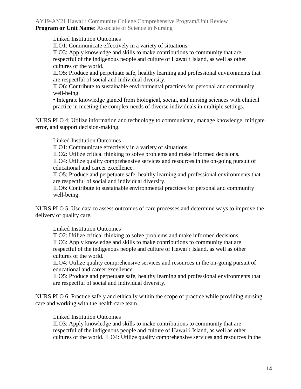Linked Institution Outcomes

ILO1: Communicate effectively in a variety of situations.

ILO3: Apply knowledge and skills to make contributions to community that are respectful of the indigenous people and culture of Hawaiʻi Island, as well as other cultures of the world.

ILO5: Produce and perpetuate safe, healthy learning and professional environments that are respectful of social and individual diversity.

ILO6: Contribute to sustainable environmental practices for personal and community well-being.

• Integrate knowledge gained from biological, social, and nursing sciences with clinical practice in meeting the complex needs of diverse individuals in multiple settings.

NURS PLO 4: Utilize information and technology to communicate, manage knowledge, mitigate error, and support decision-making.

Linked Institution Outcomes

ILO1: Communicate effectively in a variety of situations.

ILO2: Utilize critical thinking to solve problems and make informed decisions.

ILO4: Utilize quality comprehensive services and resources in the on-going pursuit of educational and career excellence.

ILO5: Produce and perpetuate safe, healthy learning and professional environments that are respectful of social and individual diversity.

ILO6: Contribute to sustainable environmental practices for personal and community well-being.

NURS PLO 5: Use data to assess outcomes of care processes and determine ways to improve the delivery of quality care.

Linked Institution Outcomes

ILO2: Utilize critical thinking to solve problems and make informed decisions. ILO3: Apply knowledge and skills to make contributions to community that are respectful of the indigenous people and culture of Hawaiʻi Island, as well as other cultures of the world.

ILO4: Utilize quality comprehensive services and resources in the on-going pursuit of educational and career excellence.

ILO5: Produce and perpetuate safe, healthy learning and professional environments that are respectful of social and individual diversity.

NURS PLO 6: Practice safely and ethically within the scope of practice while providing nursing care and working with the health care team.

Linked Institution Outcomes

ILO3: Apply knowledge and skills to make contributions to community that are respectful of the indigenous people and culture of Hawaiʻi Island, as well as other cultures of the world. ILO4: Utilize quality comprehensive services and resources in the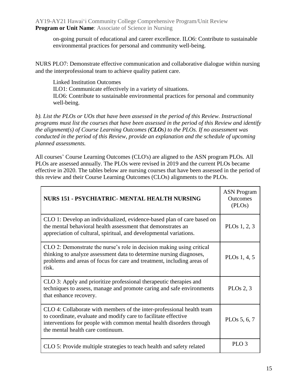on-going pursuit of educational and career excellence. ILO6: Contribute to sustainable environmental practices for personal and community well-being.

NURS PLO7: Demonstrate effective communication and collaborative dialogue within nursing and the interprofessional team to achieve quality patient care.

Linked Institution Outcomes ILO1: Communicate effectively in a variety of situations. ILO6: Contribute to sustainable environmental practices for personal and community well-being.

*b). List the PLOs or UOs that have been assessed in the period of this Review. Instructional programs must list the courses that have been assessed in the period of this Review and identify the alignment(s) of Course Learning Outcomes (CLOs) to the PLOs. If no assessment was conducted in the period of this Review, provide an explanation and the schedule of upcoming planned assessments.*

All courses' Course Learning Outcomes (CLO's) are aligned to the ASN program PLOs. All PLOs are assessed annually. The PLOs were revised in 2019 and the current PLOs became effective in 2020. The tables below are nursing courses that have been assessed in the period of this review and their Course Learning Outcomes (CLOs) alignments to the PLOs.

| NURS 151 - PSYCHIATRIC- MENTAL HEALTH NURSING                                                                                                                                                                                                         | <b>ASN</b> Program<br><b>Outcomes</b><br>(PLOs) |
|-------------------------------------------------------------------------------------------------------------------------------------------------------------------------------------------------------------------------------------------------------|-------------------------------------------------|
| CLO 1: Develop an individualized, evidence-based plan of care based on<br>the mental behavioral health assessment that demonstrates an<br>appreciation of cultural, spiritual, and developmental variations.                                          | PLOs $1, 2, 3$                                  |
| CLO 2: Demonstrate the nurse's role in decision making using critical<br>thinking to analyze assessment data to determine nursing diagnoses,<br>problems and areas of focus for care and treatment, including areas of<br>risk.                       | PLO <sub>s</sub> 1, 4, 5                        |
| CLO 3: Apply and prioritize professional therapeutic therapies and<br>techniques to assess, manage and promote caring and safe environments<br>that enhance recovery.                                                                                 | PLOs $2, 3$                                     |
| CLO 4: Collaborate with members of the inter-professional health team<br>to coordinate, evaluate and modify care to facilitate effective<br>interventions for people with common mental health disorders through<br>the mental health care continuum. | PLOs 5, 6, 7                                    |
| CLO 5: Provide multiple strategies to teach health and safety related                                                                                                                                                                                 | PLO <sub>3</sub>                                |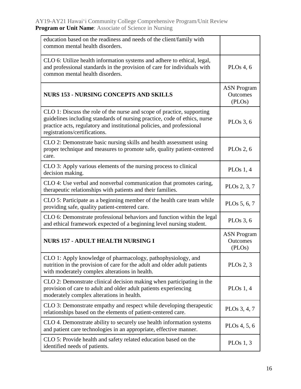| education based on the readiness and needs of the client/family with<br>common mental health disorders.                                                                                                                                                        |                                          |
|----------------------------------------------------------------------------------------------------------------------------------------------------------------------------------------------------------------------------------------------------------------|------------------------------------------|
| CLO 6: Utilize health information systems and adhere to ethical, legal,<br>and professional standards in the provision of care for individuals with<br>common mental health disorders.                                                                         | PLOs $4, 6$                              |
| <b>NURS 153 - NURSING CONCEPTS AND SKILLS</b>                                                                                                                                                                                                                  | <b>ASN Program</b><br>Outcomes<br>(PLOs) |
| CLO 1: Discuss the role of the nurse and scope of practice, supporting<br>guidelines including standards of nursing practice, code of ethics, nurse<br>practice acts, regulatory and institutional policies, and professional<br>registrations/certifications. | PLOs $3, 6$                              |
| CLO 2: Demonstrate basic nursing skills and health assessment using<br>proper technique and measures to promote safe, quality patient-centered<br>care.                                                                                                        | PLOs $2, 6$                              |
| CLO 3: Apply various elements of the nursing process to clinical<br>decision making.                                                                                                                                                                           | PLOs $1, 4$                              |
| CLO 4: Use verbal and nonverbal communication that promotes caring,<br>therapeutic relationships with patients and their families.                                                                                                                             | PLO <sub>s</sub> 2, 3, 7                 |
| CLO 5: Participate as a beginning member of the health care team while<br>providing safe, quality patient-centered care.                                                                                                                                       | PLOs 5, 6, 7                             |
| CLO 6: Demonstrate professional behaviors and function within the legal<br>and ethical framework expected of a beginning level nursing student.                                                                                                                | PLOs $3, 6$                              |
| <b>NURS 157 - ADULT HEALTH NURSING I</b>                                                                                                                                                                                                                       | <b>ASN</b> Program<br>Outcomes<br>(PLOs) |
| CLO 1: Apply knowledge of pharmacology, pathophysiology, and<br>nutrition in the provision of care for the adult and older adult patients<br>with moderately complex alterations in health.                                                                    | PLOs $2, 3$                              |
| CLO 2: Demonstrate clinical decision making when participating in the<br>provision of care to adult and older adult patients experiencing<br>moderately complex alterations in health.                                                                         | PLOs $1, 4$                              |
| CLO 3: Demonstrate empathy and respect while developing therapeutic<br>relationships based on the elements of patient-centered care.                                                                                                                           | PLO <sub>s</sub> 3, 4, 7                 |
| CLO 4. Demonstrate ability to securely use health information systems<br>and patient care technologies in an appropriate, effective manner.                                                                                                                    | PLOs $4, 5, 6$                           |
| CLO 5: Provide health and safety related education based on the<br>identified needs of patients.                                                                                                                                                               | PLOs $1, 3$                              |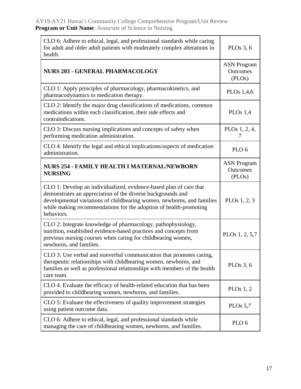| CLO 6: Adhere to ethical, legal, and professional standards while caring<br>for adult and older adult patients with moderately complex alterations in<br>health.                                                                                                                               | PLOs $3, 6$                              |
|------------------------------------------------------------------------------------------------------------------------------------------------------------------------------------------------------------------------------------------------------------------------------------------------|------------------------------------------|
| <b>NURS 203 - GENERAL PHARMACOLOGY</b>                                                                                                                                                                                                                                                         | <b>ASN Program</b><br>Outcomes<br>(PLOs) |
| CLO 1: Apply principles of pharmacology, pharmacokinetics, and<br>pharmacodynamics to medication therapy.                                                                                                                                                                                      | PLO <sub>s</sub> 1,4,6                   |
| CLO 2: Identify the major drug classifications of medications, common<br>medications within each classification, their side effects and<br>contraindications.                                                                                                                                  | PLOs $1,4$                               |
| CLO 3: Discuss nursing implications and concepts of safety when<br>performing medication administration.                                                                                                                                                                                       | PLOs 1, 2, 4,                            |
| CLO 4. Identify the legal and ethical implications/aspects of medication<br>administration.                                                                                                                                                                                                    | PLO <sub>6</sub>                         |
| <b>NURS 254 - FAMILY HEALTH I MATERNAL/NEWBORN</b><br><b>NURSING</b>                                                                                                                                                                                                                           | <b>ASN</b> Program<br>Outcomes<br>(PLOs) |
| CLO 1: Develop an individualized, evidence-based plan of care that<br>demonstrates an appreciation of the diverse backgrounds and<br>developmental variations of childbearing women, newborns, and families<br>while making recommendations for the adoption of health-promoting<br>behaviors. | PLOs $1, 2, 3$                           |
| CLO 2: Integrate knowledge of pharmacology, pathophysiology,<br>nutrition, established evidence-based practices and concepts from<br>previous nursing courses when caring for childbearing women,<br>newborns, and families.                                                                   | PLO <sub>s</sub> 1, 2, 5,7               |
| CLO 3: Use verbal and nonverbal communication that promotes caring,<br>therapeutic relationships with childbearing women, newborns, and<br>families as well as professional relationships with members of the health<br>care team.                                                             | PLOs $3, 6$                              |
| CLO 4. Evaluate the efficacy of health-related education that has been<br>provided to childbearing women, newborns, and families.                                                                                                                                                              | PLOs $1, 2$                              |
| CLO 5: Evaluate the effectiveness of quality improvement strategies<br>using patient outcome data.                                                                                                                                                                                             | PLOs $5,7$                               |
| CLO 6: Adhere to ethical, legal, and professional standards while<br>managing the care of childbearing women, newborns, and families.                                                                                                                                                          | PLO <sub>6</sub>                         |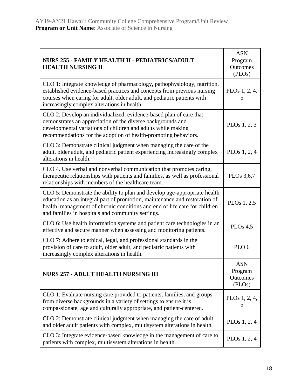$\overline{a}$ 

| NURS 255 - FAMILY HEALTH II - PEDIATRICS/ADULT<br><b>HEALTH NURSING II</b>                                                                                                                                                                                                                 | <b>ASN</b><br>Program<br>Outcomes<br>(PLOs) |
|--------------------------------------------------------------------------------------------------------------------------------------------------------------------------------------------------------------------------------------------------------------------------------------------|---------------------------------------------|
| CLO 1: Integrate knowledge of pharmacology, pathophysiology, nutrition,<br>established evidence-based practices and concepts from previous nursing<br>courses when caring for adult, older adult, and pediatric patients with<br>increasingly complex alterations in health.               | PLOs 1, 2, 4,<br>5                          |
| CLO 2: Develop an individualized, evidence-based plan of care that<br>demonstrates an appreciation of the diverse backgrounds and<br>developmental variations of children and adults while making<br>recommendations for the adoption of health-promoting behaviors.                       | PLOs $1, 2, 3$                              |
| CLO 3: Demonstrate clinical judgment when managing the care of the<br>adult, older adult, and pediatric patient experiencing increasingly complex<br>alterations in health.                                                                                                                | PLOs $1, 2, 4$                              |
| CLO 4. Use verbal and nonverbal communication that promotes caring,<br>therapeutic relationships with patients and families, as well as professional<br>relationships with members of the healthcare team.                                                                                 | PLO <sub>s</sub> 3,6,7                      |
| CLO 5: Demonstrate the ability to plan and develop age-appropriate health<br>education as an integral part of promotion, maintenance and restoration of<br>health, management of chronic conditions and end of life care for children<br>and families in hospitals and community settings. | PLOs 1, 2,5                                 |
| CLO 6: Use health information systems and patient care technologies in an<br>effective and secure manner when assessing and monitoring patients.                                                                                                                                           | PLOs $4,5$                                  |
| CLO 7: Adhere to ethical, legal, and professional standards in the<br>provision of care to adult, older adult, and pediatric patients with<br>increasingly complex alterations in health.                                                                                                  | PLO <sub>6</sub>                            |
| <b>NURS 257 - ADULT HEALTH NURSING III</b>                                                                                                                                                                                                                                                 | <b>ASN</b><br>Program<br>Outcomes<br>(PLOs) |
| CLO 1: Evaluate nursing care provided to patients, families, and groups<br>from diverse backgrounds in a variety of settings to ensure it is<br>compassionate, age and culturally appropriate, and patient-centered.                                                                       | PLOs 1, 2, 4,<br>5                          |
| CLO 2: Demonstrate clinical judgment when managing the care of adult<br>and older adult patients with complex, multisystem alterations in health.                                                                                                                                          | PLOs $1, 2, 4$                              |
| CLO 3: Integrate evidence-based knowledge in the management of care to<br>patients with complex, multisystem alterations in health.                                                                                                                                                        | PLOs $1, 2, 4$                              |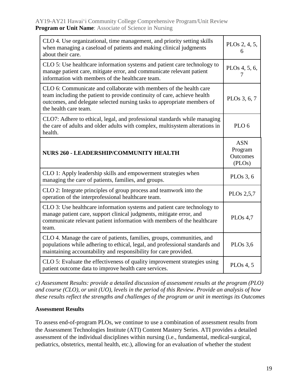| CLO 4. Use organizational, time management, and priority setting skills<br>when managing a caseload of patients and making clinical judgments<br>about their care.                                                                                 | PLOs 2, 4, 5,<br>6                          |
|----------------------------------------------------------------------------------------------------------------------------------------------------------------------------------------------------------------------------------------------------|---------------------------------------------|
| CLO 5: Use healthcare information systems and patient care technology to<br>manage patient care, mitigate error, and communicate relevant patient<br>information with members of the healthcare team.                                              | PLOs 4, 5, 6,<br>7                          |
| CLO 6: Communicate and collaborate with members of the health care<br>team including the patient to provide continuity of care, achieve health<br>outcomes, and delegate selected nursing tasks to appropriate members of<br>the health care team. | PLO <sub>s</sub> 3, 6, 7                    |
| CLO7: Adhere to ethical, legal, and professional standards while managing<br>the care of adults and older adults with complex, multisystem alterations in<br>health.                                                                               | PLO <sub>6</sub>                            |
| <b>NURS 260 - LEADERSHIP/COMMUNITY HEALTH</b>                                                                                                                                                                                                      | <b>ASN</b><br>Program<br>Outcomes<br>(PLOs) |
| CLO 1: Apply leadership skills and empowerment strategies when<br>managing the care of patients, families, and groups.                                                                                                                             | PLOs $3, 6$                                 |
| CLO 2: Integrate principles of group process and teamwork into the<br>operation of the interprofessional healthcare team.                                                                                                                          | PLO <sub>s</sub> 2,5,7                      |
| CLO 3: Use healthcare information systems and patient care technology to<br>manage patient care, support clinical judgments, mitigate error, and<br>communicate relevant patient information with members of the healthcare<br>team.               | PLOs $4,7$                                  |
| CLO 4. Manage the care of patients, families, groups, communities, and<br>populations while adhering to ethical, legal, and professional standards and<br>maintaining accountability and responsibility for care provided.                         | PLOs $3,6$                                  |
| CLO 5: Evaluate the effectiveness of quality improvement strategies using<br>patient outcome data to improve health care services.                                                                                                                 | PLOs 4, 5                                   |

*c) Assessment Results: provide a detailed discussion of assessment results at the program (PLO) and course (CLO), or unit (UO), levels in the period of this Review. Provide an analysis of how these results reflect the strengths and challenges of the program or unit in meetings its Outcomes*

#### **Assessment Results**

To assess end-of-program PLOs, we continue to use a combination of assessment results from the Assessment Technologies Institute (ATI) Content Mastery Series. ATI provides a detailed assessment of the individual disciplines within nursing (i.e., fundamental, medical-surgical, pediatrics, obstetrics, mental health, etc.), allowing for an evaluation of whether the student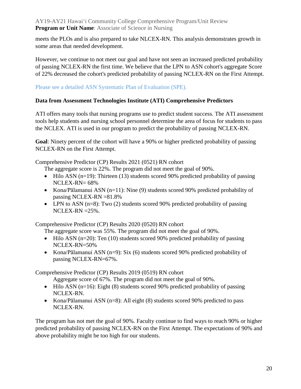meets the PLOs and is also prepared to take NLCEX-RN. This analysis demonstrates growth in some areas that needed development.

However, we continue to not meet our goal and have not seen an increased predicted probability of passing NCLEX-RN the first time. We believe that the LPN to ASN cohort's aggregate Score of 22% decreased the cohort's predicted probability of passing NCLEX-RN on the First Attempt.

Please see a detailed ASN Systematic Plan of Evaluation (SPE).

#### **Data from Assessment Technologies Institute (ATI) Comprehensive Predictors**

ATI offers many tools that nursing programs use to predict student success. The ATI assessment tools help students and nursing school personnel determine the area of focus for students to pass the NCLEX. ATI is used in our program to predict the probability of passing NCLEX-RN.

**Goal**: Ninety percent of the cohort will have a 90% or higher predicted probability of passing NCLEX-RN on the First Attempt.

Comprehensive Predictor (CP) Results 2021 (0521) RN cohort

The aggregate score is 22%. The program did not meet the goal of 90%.

- Hilo ASN  $(n=19)$ : Thirteen (13) students scored 90% predicted probability of passing NCLEX-RN= 68%
- Kona/Pālamanui ASN  $(n=11)$ : Nine (9) students scored 90% predicted probability of passing NCLEX-RN =81.8%
- LPN to ASN (n=8): Two (2) students scored 90% predicted probability of passing NCLEX-RN =25%.

Comprehensive Predictor (CP) Results 2020 (0520) RN cohort

The aggregate score was 55%. The program did not meet the goal of 90%.

- Hilo ASN (n=20): Ten (10) students scored 90% predicted probability of passing NCLEX-RN=50%
- Kona/Pālamanui ASN  $(n=9)$ : Six  $(6)$  students scored 90% predicted probability of passing NCLEX-RN=67%.

Comprehensive Predictor (CP) Results 2019 (0519) RN cohort

Aggregate score of 67%. The program did not meet the goal of 90%.

- Hilo ASN  $(n=16)$ : Eight (8) students scored 90% predicted probability of passing NCLEX-RN.
- Kona/Pālamanui ASN (n=8): All eight (8) students scored 90% predicted to pass NCLEX-RN.

The program has not met the goal of 90%. Faculty continue to find ways to reach 90% or higher predicted probability of passing NCLEX-RN on the First Attempt. The expectations of 90% and above probability might be too high for our students.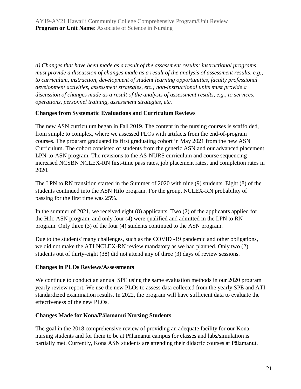*d) Changes that have been made as a result of the assessment results: instructional programs must provide a discussion of changes made as a result of the analysis of assessment results, e.g., to curriculum, instruction, development of student learning opportunities, faculty professional development activities, assessment strategies, etc.; non-instructional units must provide a discussion of changes made as a result of the analysis of assessment results, e.g., to services, operations, personnel training, assessment strategies, etc.*

#### **Changes from Systematic Evaluations and Curriculum Reviews**

The new ASN curriculum began in Fall 2019. The content in the nursing courses is scaffolded, from simple to complex, where we assessed PLOs with artifacts from the end-of-program courses. The program graduated its first graduating cohort in May 2021 from the new ASN Curriculum. The cohort consisted of students from the generic ASN and our advanced placement LPN-to-ASN program. The revisions to the AS-NURS curriculum and course sequencing increased NCSBN NCLEX-RN first-time pass rates, job placement rates, and completion rates in 2020.

The LPN to RN transition started in the Summer of 2020 with nine (9) students. Eight (8) of the students continued into the ASN Hilo program. For the group, NCLEX-RN probability of passing for the first time was 25%.

In the summer of 2021, we received eight (8) applicants. Two (2) of the applicants applied for the Hilo ASN program, and only four (4) were qualified and admitted in the LPN to RN program. Only three (3) of the four (4) students continued to the ASN program.

Due to the students' many challenges, such as the COVID -19 pandemic and other obligations, we did not make the ATI NCLEX-RN review mandatory as we had planned. Only two (2) students out of thirty-eight (38) did not attend any of three (3) days of review sessions.

#### **Changes in PLOs Reviews/Assessments**

We continue to conduct an annual SPE using the same evaluation methods in our 2020 program yearly review report. We use the new PLOs to assess data collected from the yearly SPE and ATI standardized examination results. In 2022, the program will have sufficient data to evaluate the effectiveness of the new PLOs.

#### **Changes Made for Kona/Pālamanui Nursing Students**

The goal in the 2018 comprehensive review of providing an adequate facility for our Kona nursing students and for them to be at Pālamanui campus for classes and labs/simulation is partially met. Currently, Kona ASN students are attending their didactic courses at Pālamanui.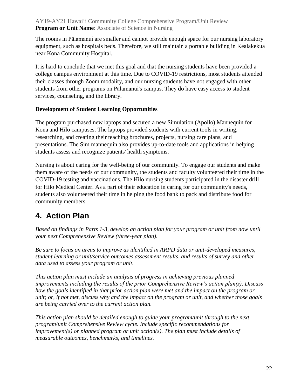The rooms in Pālamanui are smaller and cannot provide enough space for our nursing laboratory equipment, such as hospitals beds. Therefore, we still maintain a portable building in Kealakekua near Kona Community Hospital.

It is hard to conclude that we met this goal and that the nursing students have been provided a college campus environment at this time. Due to COVID-19 restrictions, most students attended their classes through Zoom modality, and our nursing students have not engaged with other students from other programs on Pālamanui's campus. They do have easy access to student services, counseling, and the library.

#### **Development of Student Learning Opportunities**

The program purchased new laptops and secured a new Simulation (Apollo) Mannequin for Kona and Hilo campuses. The laptops provided students with current tools in writing, researching, and creating their teaching brochures, projects, nursing care plans, and presentations. The Sim mannequin also provides up-to-date tools and applications in helping students assess and recognize patients' health symptoms.

Nursing is about caring for the well-being of our community. To engage our students and make them aware of the needs of our community, the students and faculty volunteered their time in the COVID-19 testing and vaccinations. The Hilo nursing students participated in the disaster drill for Hilo Medical Center. As a part of their education in caring for our community's needs, students also volunteered their time in helping the food bank to pack and distribute food for community members.

## **4. Action Plan**

*Based on findings in Parts 1-3, develop an action plan for your program or unit from now until your next Comprehensive Review (three-year plan).* 

*Be sure to focus on areas to improve as identified in ARPD data or unit-developed measures, student learning or unit/service outcomes assessment results, and results of survey and other data used to assess your program or unit.* 

*This action plan must include an analysis of progress in achieving previous planned improvements including the results of the prior Comprehensive Review's action plan(s). Discuss how the goals identified in that prior action plan were met and the impact on the program or unit; or, if not met, discuss why and the impact on the program or unit, and whether those goals are being carried over to the current action plan.* 

*This action plan should be detailed enough to guide your program/unit through to the next program/unit Comprehensive Review cycle. Include specific recommendations for improvement(s) or planned program or unit action(s). The plan must include details of measurable outcomes, benchmarks, and timelines.*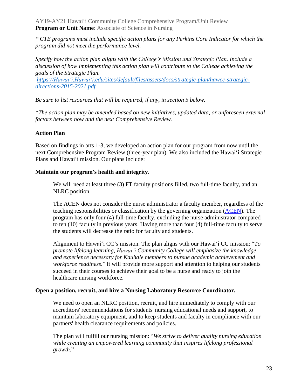*\* CTE programs must include specific action plans for any Perkins Core Indicator for which the program did not meet the performance level.*

*Specify how the action plan aligns with the College's Mission and Strategic Plan. Include a discussion of how implementing this action plan will contribute to the College achieving the goals of the Strategic Plan.* 

*[https://Hawaiʻi.Hawaiʻi.edu/sites/default/files/assets/docs/strategic-plan/hawcc-strategic](https://hawaii.hawaii.edu/sites/default/files/assets/docs/strategic-plan/hawcc-strategic-directions-2015-2021.pdf)[directions-2015-2021.pdf](https://hawaii.hawaii.edu/sites/default/files/assets/docs/strategic-plan/hawcc-strategic-directions-2015-2021.pdf)*

*Be sure to list resources that will be required, if any, in section 5 below.*

*\*The action plan may be amended based on new initiatives, updated data, or unforeseen external factors between now and the next Comprehensive Review.*

#### **Action Plan**

Based on findings in arts 1-3, we developed an action plan for our program from now until the next Comprehensive Program Review (three-year plan). We also included the Hawaiʻi Strategic Plans and Hawaiʻi mission. Our plans include:

#### **Maintain our program's health and integrity**.

We will need at least three (3) FT faculty positions filled, two full-time faculty, and an NLRC position.

The ACEN does not consider the nurse administrator a faculty member, regardless of the teaching responsibilities or classification by the governing organization [\(ACEN\)](https://www.acenursing.org/acen-accreditation-manual-glossary/#N). The program has only four (4) full-time faculty, excluding the nurse administrator compared to ten (10) faculty in previous years. Having more than four (4) full-time faculty to serve the students will decrease the ratio for faculty and students.

Alignment to Hawaiʻi CC's mission. The plan aligns with our Hawaiʻi CC mission: "*To promote lifelong learning, Hawaiʻi Community College will emphasize the knowledge and experience necessary for Kauhale members to pursue academic achievement and workforce readiness*." It will provide more support and attention to helping our students succeed in their courses to achieve their goal to be a nurse and ready to join the healthcare nursing workforce.

#### **Open a position, recruit, and hire a Nursing Laboratory Resource Coordinator.**

We need to open an NLRC position, recruit, and hire immediately to comply with our accreditors' recommendations for students' nursing educational needs and support, to maintain laboratory equipment, and to keep students and faculty in compliance with our partners' health clearance requirements and policies.

The plan will fulfill our nursing mission: "*We strive to deliver quality nursing education while creating an empowered learning community that inspires lifelong professional growth*."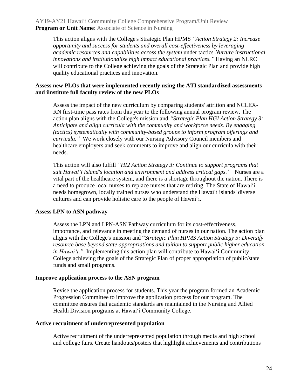This action aligns with the College's Strategic Plan HPMS *"Action Strategy 2: Increase opportunity and success for students and overall cost-effectiveness by leveraging academic resources and capabilities across the system* under tactics *Nurture instructional innovations and institutionalize high impact educational practices."* Having an NLRC will contribute to the College achieving the goals of the Strategic Plan and provide high quality educational practices and innovation.

#### **Assess new PLOs that were implemented recently using the ATI standardized assessments and iinstitute full faculty review of the new PLOs**

Assess the impact of the new curriculum by comparing students' attrition and NCLEX-RN first-time pass rates from this year to the following annual program review. The action plan aligns with the College's mission and *"Strategic Plan HGI Action Strategy 3: Anticipate and align curricula with the community and workforce needs. By engaging (tactics) systematically with community-based groups to inform program offerings and curricula."* We work closely with our Nursing Advisory Council members and healthcare employers and seek comments to improve and align our curricula with their needs.

This action will also fulfill *"HI2 Action Strategy 3: Continue to support programs that suit Hawaiʻi Island's location and environment and address critical gaps."* Nurses are a vital part of the healthcare system, and there is a shortage throughout the nation. There is a need to produce local nurses to replace nurses that are retiring. The State of Hawaiʻi needs homegrown, locally trained nurses who understand the Hawaiʻi islands' diverse cultures and can provide holistic care to the people of Hawaiʻi.

#### **Assess LPN to ASN pathway**

Assess the LPN and LPN-ASN Pathway curriculum for its cost-effectiveness, importance, and relevance in meeting the demand of nurses in our nation. The action plan aligns with the College's mission and "*Strategic Plan HPMS Action Strategy 5: Diversify resource base beyond state appropriations and tuition to support public higher education in Hawaiʻi."* Implementing this action plan will contribute to Hawaiʻi Community College achieving the goals of the Strategic Plan of proper appropriation of public/state funds and small programs.

#### **Improve application process to the ASN program**

Revise the application process for students. This year the program formed an Academic Progression Committee to improve the application process for our program. The committee ensures that academic standards are maintained in the Nursing and Allied Health Division programs at Hawaiʻi Community College.

#### **Active recruitment of underrepresented population**

Active recruitment of the underrepresented population through media and high school and college fairs. Create handouts/posters that highlight achievements and contributions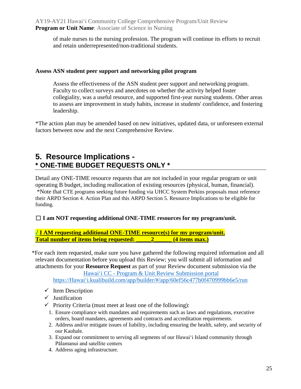of male nurses to the nursing profession. The program will continue its efforts to recruit and retain underrepresented/non-traditional students.

#### **Assess ASN student peer support and networking pilot program**

Assess the effectiveness of the ASN student peer support and networking program. Faculty to collect surveys and anecdotes on whether the activity helped foster collegiality, was a useful resource, and supported first-year nursing students. Other areas to assess are improvement in study habits, increase in students' confidence, and fostering leadership.

\*The action plan may be amended based on new initiatives, updated data, or unforeseen external factors between now and the next Comprehensive Review.

## **5. Resource Implications - \* ONE-TIME BUDGET REQUESTS ONLY \***

Detail any ONE-TIME resource requests that are not included in your regular program or unit operating B budget, including reallocation of existing resources (physical, human, financial). \*Note that CTE programs seeking future funding via UHCC System Perkins proposals must reference their ARPD Section 4. Action Plan and this ARPD Section 5. Resource Implications to be eligible for funding.

☐ **I am NOT requesting additional ONE-TIME resources for my program/unit.**

**√ I AM requesting additional ONE-TIME resource(s) for my program/unit. Total number of items being requested: \_\_\_\_\_2\_\_\_\_\_\_ (4 items max.)**

\*For each item requested, make sure you have gathered the following required information and all relevant documentation before you upload this Review; you will submit all information and attachments for your **Resource Request** as part of your Review document submission via the Hawaiʻi CC - [Program & Unit Review Submission portal](https://hawaii.kualibuild.com/app/builder/#/app/60ef56c477b0f470999bb6e5/run)

[https://Hawaiʻi.kualibuild.com/app/builder/#/app/60ef56c477b0f470999bb6e5/run](https://hawaii.kualibuild.com/app/builder/#/app/60ef56c477b0f470999bb6e5/run)

- $\checkmark$  Item Description
- $\checkmark$  Justification
- $\checkmark$  Priority Criteria (must meet at least one of the following):
	- 1. Ensure compliance with mandates and requirements such as laws and regulations, executive orders, board mandates, agreements and contracts and accreditation requirements.
	- 2. Address and/or mitigate issues of liability, including ensuring the health, safety, and security of our Kauhale.
	- 3. Expand our commitment to serving all segments of our Hawaiʻi Island community through Pālamanui and satellite centers
	- 4. Address aging infrastructure.